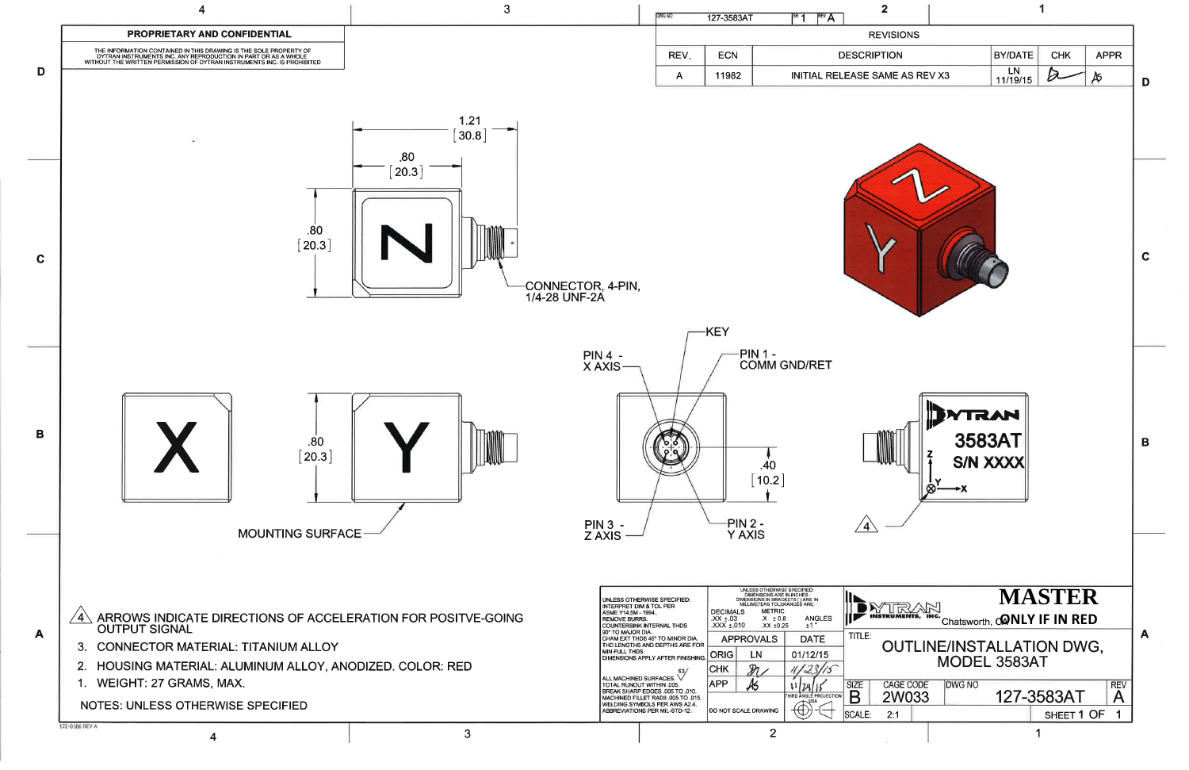

| 1                                                                                                                                                                                                |   |
|--------------------------------------------------------------------------------------------------------------------------------------------------------------------------------------------------|---|
|                                                                                                                                                                                                  |   |
| <b>BY/DATE</b><br><b>CHK</b><br><b>APPR</b>                                                                                                                                                      |   |
| LN<br>SAME AS REV X3<br>Æ<br>11/19/15                                                                                                                                                            | D |
|                                                                                                                                                                                                  |   |
|                                                                                                                                                                                                  | C |
| 3003AT<br><b>S/N XXXX</b><br>⊗-<br>$\rightarrow$ X                                                                                                                                               | Β |
| <b>MASTER</b><br>Chatsworth, CONLY IF IN RED<br>OUTLINE/INSTALLATION DWG,<br>MODEL 3583AT<br><b>CAGE CODE</b><br><b>REV</b><br><b>DWG NO</b><br>127-3583AT<br>2W033<br>А<br>SHEET 1 OF<br>1<br>1 | A |
|                                                                                                                                                                                                  |   |